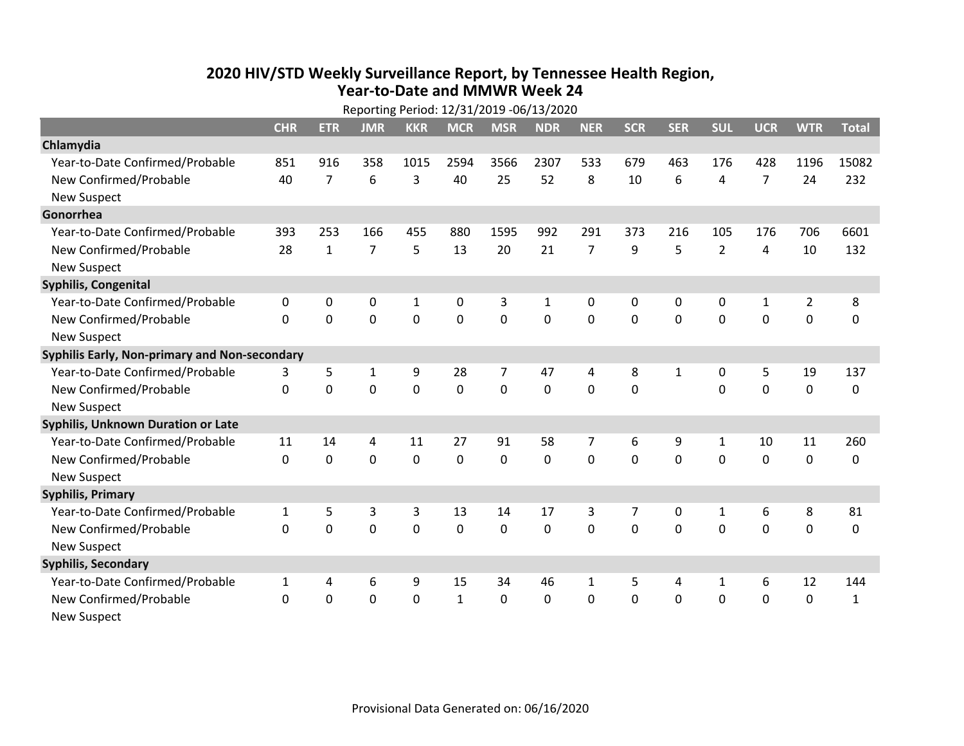## **2020 HIV /STD Weekly Surveillance Report, by Tennessee Health Region, Year‐to‐Date and MMWR Week 24** Reporting Period: 12/31/2019 ‐06/13/2020

| Reporting Period: 12/31/2019 -06/13/2020      |              |                |                |              |              |             |              |                |              |              |                |                |                |              |
|-----------------------------------------------|--------------|----------------|----------------|--------------|--------------|-------------|--------------|----------------|--------------|--------------|----------------|----------------|----------------|--------------|
|                                               | <b>CHR</b>   | <b>ETR</b>     | <b>JMR</b>     | <b>KKR</b>   | <b>MCR</b>   | <b>MSR</b>  | <b>NDR</b>   | <b>NER</b>     | <b>SCR</b>   | <b>SER</b>   | <b>SUL</b>     | <b>UCR</b>     | <b>WTR</b>     | <b>Total</b> |
| Chlamydia                                     |              |                |                |              |              |             |              |                |              |              |                |                |                |              |
| Year-to-Date Confirmed/Probable               | 851          | 916            | 358            | 1015         | 2594         | 3566        | 2307         | 533            | 679          | 463          | 176            | 428            | 1196           | 15082        |
| New Confirmed/Probable                        | 40           | $\overline{7}$ | 6              | 3            | 40           | 25          | 52           | 8              | 10           | 6            | 4              | $\overline{7}$ | 24             | 232          |
| <b>New Suspect</b>                            |              |                |                |              |              |             |              |                |              |              |                |                |                |              |
| Gonorrhea                                     |              |                |                |              |              |             |              |                |              |              |                |                |                |              |
| Year-to-Date Confirmed/Probable               | 393          | 253            | 166            | 455          | 880          | 1595        | 992          | 291            | 373          | 216          | 105            | 176            | 706            | 6601         |
| New Confirmed/Probable                        | 28           | $\mathbf{1}$   | $\overline{7}$ | 5            | 13           | 20          | 21           | $\overline{7}$ | 9            | 5            | $\overline{2}$ | 4              | 10             | 132          |
| <b>New Suspect</b>                            |              |                |                |              |              |             |              |                |              |              |                |                |                |              |
| <b>Syphilis, Congenital</b>                   |              |                |                |              |              |             |              |                |              |              |                |                |                |              |
| Year-to-Date Confirmed/Probable               | 0            | 0              | $\mathbf 0$    | $\mathbf{1}$ | 0            | 3           | $\mathbf{1}$ | 0              | 0            | 0            | 0              | $\mathbf{1}$   | $\overline{2}$ | 8            |
| New Confirmed/Probable                        | $\mathbf{0}$ | $\mathbf 0$    | 0              | 0            | $\mathbf 0$  | $\mathbf 0$ | 0            | $\mathbf 0$    | $\mathbf{0}$ | 0            | 0              | 0              | $\mathbf 0$    | 0            |
| <b>New Suspect</b>                            |              |                |                |              |              |             |              |                |              |              |                |                |                |              |
| Syphilis Early, Non-primary and Non-secondary |              |                |                |              |              |             |              |                |              |              |                |                |                |              |
| Year-to-Date Confirmed/Probable               | 3            | 5              | 1              | 9            | 28           | 7           | 47           | 4              | 8            | $\mathbf{1}$ | 0              | 5              | 19             | 137          |
| New Confirmed/Probable                        | $\Omega$     | 0              | $\Omega$       | 0            | $\mathbf 0$  | $\mathbf 0$ | $\Omega$     | $\Omega$       | $\Omega$     |              | $\Omega$       | 0              | $\mathbf 0$    | 0            |
| <b>New Suspect</b>                            |              |                |                |              |              |             |              |                |              |              |                |                |                |              |
| Syphilis, Unknown Duration or Late            |              |                |                |              |              |             |              |                |              |              |                |                |                |              |
| Year-to-Date Confirmed/Probable               | 11           | 14             | 4              | 11           | 27           | 91          | 58           | $\overline{7}$ | 6            | 9            | 1              | 10             | 11             | 260          |
| New Confirmed/Probable                        | $\Omega$     | $\mathbf 0$    | $\mathbf 0$    | 0            | $\mathbf 0$  | 0           | $\Omega$     | $\Omega$       | $\Omega$     | $\Omega$     | $\Omega$       | 0              | $\mathbf 0$    | 0            |
| <b>New Suspect</b>                            |              |                |                |              |              |             |              |                |              |              |                |                |                |              |
| <b>Syphilis, Primary</b>                      |              |                |                |              |              |             |              |                |              |              |                |                |                |              |
| Year-to-Date Confirmed/Probable               | $\mathbf{1}$ | 5              | 3              | 3            | 13           | 14          | 17           | 3              | 7            | 0            | $\mathbf{1}$   | 6              | 8              | 81           |
| New Confirmed/Probable                        | $\Omega$     | 0              | 0              | 0            | $\mathbf 0$  | 0           | 0            | $\Omega$       | $\Omega$     | $\Omega$     | 0              | $\Omega$       | $\mathbf 0$    | 0            |
| <b>New Suspect</b>                            |              |                |                |              |              |             |              |                |              |              |                |                |                |              |
| <b>Syphilis, Secondary</b>                    |              |                |                |              |              |             |              |                |              |              |                |                |                |              |
| Year-to-Date Confirmed/Probable               | $\mathbf{1}$ | 4              | 6              | 9            | 15           | 34          | 46           | $\mathbf{1}$   | 5            | 4            | 1              | 6              | 12             | 144          |
| New Confirmed/Probable                        | 0            | 0              | 0              | 0            | $\mathbf{1}$ | 0           | 0            | $\mathbf 0$    | $\Omega$     | 0            | 0              | 0              | $\mathbf 0$    | $\mathbf{1}$ |
| <b>New Suspect</b>                            |              |                |                |              |              |             |              |                |              |              |                |                |                |              |